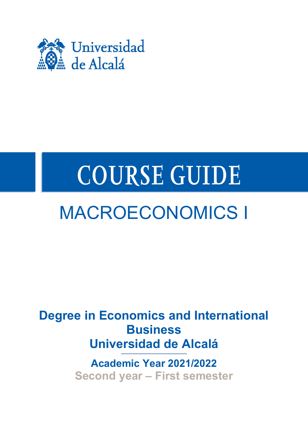

# **COURSE GUIDE**

## MACROECONOMICS I

**Degree in Economics and International Business Universidad de Alcalá**

> **Academic Year 2021/2022 Second year – First semester**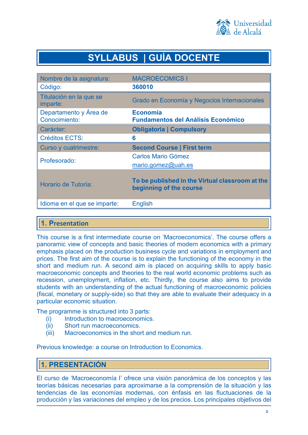

## **SYLLABUS | GUÍA DOCENTE**

| Nombre de la asignatura:                | <b>MACROECOMICS I</b>                                                      |
|-----------------------------------------|----------------------------------------------------------------------------|
| Código:                                 | 360010                                                                     |
| Titulación en la que se<br>imparte:     | Grado en Economía y Negocios Internacionales                               |
| Departamento y Área de<br>Conocimiento: | Economía<br><b>Fundamentos del Análisis Económico</b>                      |
| Carácter:                               | <b>Obligatoria   Compulsory</b>                                            |
| <b>Créditos ECTS:</b>                   | 6                                                                          |
| Curso y cuatrimestre:                   | <b>Second Course   First term</b>                                          |
| Profesorado:                            | <b>Carlos Mario Gómez</b>                                                  |
|                                         | mario.gomez@uah.es                                                         |
| Horario de Tutoría:                     | To be published in the Virtual classroom at the<br>beginning of the course |
| Idioma en el que se imparte:            | <b>English</b>                                                             |

## **1. Presentation**

This course is a first intermediate course on 'Macroeconomics'. The course offers a panoramic view of concepts and basic theories of modern economics with a primary emphasis placed on the production business cycle and variations in employment and prices. The first aim of the course is to explain the functioning of the economy in the short and medium run. A second aim is placed on acquiring skills to apply basic macroeconomic concepts and theories to the real world economic problems such as recession, unemployment, inflation, etc. Thirdly, the course also aims to provide students with an understanding of the actual functioning of macroeconomic policies (fiscal, monetary or supply-side) so that they are able to evaluate their adequacy in a particular economic situation.

The programme is structured into 3 parts:

- (i) Introduction to macroeconomics.
- (ii) Short run macroeconomics.
- (iii) Macroeconomics in the short and medium run.

Previous knowledge: a course on Introduction to Economics.

## **1. PRESENTACIÓN**

El curso de 'Macroeconomía I' ofrece una visión panorámica de los conceptos y las teorías básicas necesarias para aproximarse a la comprensión de la situación y las tendencias de las economías modernas, con énfasis en las fluctuaciones de la producción y las variaciones del empleo y de los precios. Los principales objetivos del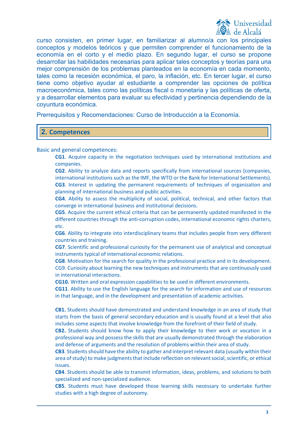

curso consisten, en primer lugar, en familiarizar al alumno/a con los principales conceptos y modelos teóricos y que permiten comprender el funcionamiento de la economía en el corto y el medio plazo. En segundo lugar, el curso se propone desarrollar las habilidades necesarias para aplicar tales conceptos y teorías para una mejor comprensión de los problemas planteados en la economía en cada momento, tales como la recesión económica, el paro, la inflación, etc. En tercer lugar, el curso tiene como objetivo ayudar al estudiante a comprender las opciones de política macroeconómica, tales como las políticas fiscal o monetaria y las políticas de oferta, y a desarrollar elementos para evaluar su efectividad y pertinencia dependiendo de la coyuntura económica.

Prerrequisitos y Recomendaciones: Curso de Introducción a la Economía.

### **2. Competences**

Basic and general competences:

**CG1**. Acquire capacity in the negotiation techniques used by international institutions and companies.

**CG2**. Ability to analyze data and reports specifically from international sources (companies, international institutions such as the IMF, the WTO or the Bank for International Settlements). **CG3**. Interest in updating the permanent requirements of techniques of organization and planning of international business and public activities.

**CG4**. Ability to assess the multiplicity of social, political, technical, and other factors that converge in international business and institutional decisions.

**CG5**. Acquire the current ethical criteria that can be permanently updated manifested in the different countries through the anti-corruption codes, international economic rights charters, etc.

**CG6**. Ability to integrate into interdisciplinary teams that includes people from very different countries and training.

**CG7**. Scientific and professional curiosity for the permanent use of analytical and conceptual instruments typical of international economic relations.

**CG8**. Motivation for the search for quality in the professional practice and in its development. CG9. Curiosity about learning the new techniques and instruments that are continuously used in international interactions.

**CG10.** Written and oral expression capabilities to be used in different environments.

**CG11**. Ability to use the English language for the search for information and use of resources in that language, and in the development and presentation of academic activities.

**CB1.** Students should have demonstrated and understand knowledge in an area of study that starts from the basis of general secondary education and is usually found at a level that also includes some aspects that involve knowledge from the forefront of their field of study.

**CB2.** Students should know how to apply their knowledge to their work or vocation in a professional way and possess the skills that are usually demonstrated through the elaboration and defense of arguments and the resolution of problems within their area of study.

**CB3**. Students should have the ability to gather and interpret relevant data (usually within their area of study) to make judgments that include reflection on relevant social, scientific, or ethical issues.

**CB4**. Students should be able to transmit information, ideas, problems, and solutions to both specialized and non-specialized audience.

**CB5**. Students must have developed those learning skills necessary to undertake further studies with a high degree of autonomy.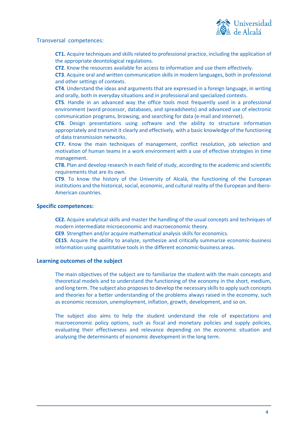

#### Transversal competences:

**CT1.** Acquire techniques and skills related to professional practice, including the application of the appropriate deontological regulations.

**CT2**. Know the resources available for access to information and use them effectively.

**CT3**. Acquire oral and written communication skills in modern languages, both in professional and other settings of contexts.

**CT4**. Understand the ideas and arguments that are expressed in a foreign language, in writing and orally, both in everyday situations and in professional and specialized contexts.

**CT5**. Handle in an advanced way the office tools most frequently used in a professional environment (word processor, databases, and spreadsheets) and advanced use of electronic communication programs, browsing, and searching for data (e-mail and internet).

**CT6**. Design presentations using software and the ability to structure information appropriately and transmit it clearly and effectively, with a basic knowledge of the functioning of data transmission networks.

**CT7.** Know the main techniques of management, conflict resolution, job selection and motivation of human teams in a work environment with a use of effective strategies in time management.

**CT8.** Plan and develop research in each field of study, according to the academic and scientific requirements that are its own.

**CT9**. To know the history of the University of Alcalá, the functioning of the European institutions and the historical, social, economic, and cultural reality of the European and Ibero-American countries.

#### **Specific competences:**

**CE2.** Acquire analytical skills and master the handling of the usual concepts and techniques of modern intermediate microeconomic and macroeconomic theory.

**CE9**. Strengthen and/or acquire mathematical analysis skills for economics.

**CE15**. Acquire the ability to analyze, synthesize and critically summarize economic-business information using quantitative tools in the different economic-business areas.

#### **Learning outcomes of the subject**

The main objectives of the subject are to familiarize the student with the main concepts and theoretical models and to understand the functioning of the economy in the short, medium, and long term. The subject also proposes to develop the necessary skills to apply such concepts and theories for a better understanding of the problems always raised in the economy, such as economic recession, unemployment, inflation, growth, development, and so on.

The subject also aims to help the student understand the role of expectations and macroeconomic policy options, such as fiscal and monetary policies and supply policies, evaluating their effectiveness and relevance depending on the economic situation and analysing the determinants of economic development in the long term.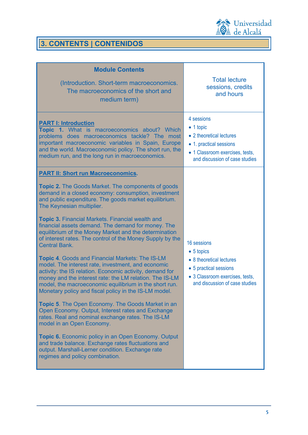

**3. CONTENTS | CONTENIDOS**

| <b>Module Contents</b><br>(Introduction. Short-term macroeconomics.<br>The macroeconomics of the short and<br>medium term)                                                                                                                                                                                                                                                                                                                                                                                                                                                                                                                                                                                                                                                                                                                                                                                                                                                                                                                                                                                                                                                                                                                                                                 | <b>Total lecture</b><br>sessions, credits<br>and hours                                                                                                       |
|--------------------------------------------------------------------------------------------------------------------------------------------------------------------------------------------------------------------------------------------------------------------------------------------------------------------------------------------------------------------------------------------------------------------------------------------------------------------------------------------------------------------------------------------------------------------------------------------------------------------------------------------------------------------------------------------------------------------------------------------------------------------------------------------------------------------------------------------------------------------------------------------------------------------------------------------------------------------------------------------------------------------------------------------------------------------------------------------------------------------------------------------------------------------------------------------------------------------------------------------------------------------------------------------|--------------------------------------------------------------------------------------------------------------------------------------------------------------|
| <b>PART I: Introduction</b><br>Topic 1. What is macroeconomics about? Which<br>problems does macroeconomics tackle? The most<br>important macroeconomic variables in Spain, Europe<br>and the world. Macroeconomic policy. The short run, the<br>medium run, and the long run in macroeconomics.                                                                                                                                                                                                                                                                                                                                                                                                                                                                                                                                                                                                                                                                                                                                                                                                                                                                                                                                                                                           | 4 sessions<br>$\bullet$ 1 topic<br>• 2 theoretical lectures<br>• 1. practical sessions<br>• 1 Classroom exercises, tests,<br>and discussion of case studies  |
| <b>PART II: Short run Macroeconomics.</b><br><b>Topic 2.</b> The Goods Market. The components of goods<br>demand in a closed economy: consumption, investment<br>and public expenditure. The goods market equilibrium.<br>The Keynesian multiplier.<br><b>Topic 3. Financial Markets. Financial wealth and</b><br>financial assets demand. The demand for money. The<br>equilibrium of the Money Market and the determination<br>of interest rates. The control of the Money Supply by the<br><b>Central Bank.</b><br><b>Topic 4. Goods and Financial Markets: The IS-LM</b><br>model. The interest rate, investment, and economic<br>activity: the IS relation. Economic activity, demand for<br>money and the interest rate: the LM relation. The IS-LM<br>model, the macroeconomic equilibrium in the short run.<br>Monetary policy and fiscal policy in the IS-LM model.<br><b>Topic 5.</b> The Open Economy. The Goods Market in an<br>Open Economy. Output, Interest rates and Exchange<br>rates. Real and nominal exchange rates. The IS-LM<br>model in an Open Economy.<br><b>Topic 6.</b> Economic policy in an Open Economy. Output<br>and trade balance. Exchange rates fluctuations and<br>output. Marshall-Lerner condition. Exchange rate<br>regimes and policy combination. | 16 sessions<br>$\bullet$ 5 topics<br>• 8 theoretical lectures<br>• 5 practical sessions<br>• 3 Classroom exercises, tests,<br>and discussion of case studies |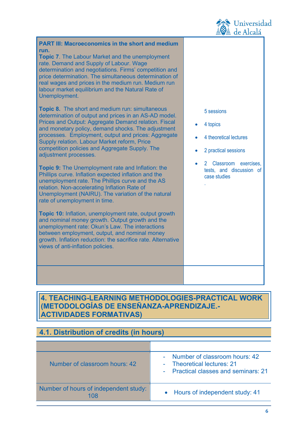

| <b>PART III: Macroeconomics in the short and medium</b><br>run.<br>Topic 7. The Labour Market and the unemployment<br>rate. Demand and Supply of Labour. Wage<br>determination and negotiations. Firms' competition and<br>price determination. The simultaneous determination of<br>real wages and prices in the medium run. Medium run<br>labour market equilibrium and the Natural Rate of<br>Unemployment.<br>Topic 8. The short and medium run: simultaneous<br>determination of output and prices in an AS-AD model.<br>Prices and Output: Aggregate Demand relation. Fiscal<br>and monetary policy, demand shocks. The adjustment<br>processes. Employment, output and prices: Aggregate<br>Supply relation. Labour Market reform, Price<br>competition policies and Aggregate Supply. The<br>adjustment processes.<br><b>Topic 9:</b> The Unemployment rate and Inflation: the<br>Phillips curve. Inflation expected inflation and the<br>unemployment rate. The Phillips curve and the AS<br>relation. Non-accelerating Inflation Rate of<br>Unemployment (NAIRU). The variation of the natural<br>rate of unemployment in time.<br>Topic 10: Inflation, unemployment rate, output growth<br>and nominal money growth. Output growth and the<br>unemployment rate: Okun's Law. The interactions<br>between employment, output, and nominal money<br>growth. Inflation reduction: the sacrifice rate. Alternative<br>views of anti-inflation policies. | 5 sessions<br>4 topics<br>4 theoretical lectures<br>2 practical sessions<br>2 Classroom exercises,<br>tests, and discussion of<br>case studies |
|----------------------------------------------------------------------------------------------------------------------------------------------------------------------------------------------------------------------------------------------------------------------------------------------------------------------------------------------------------------------------------------------------------------------------------------------------------------------------------------------------------------------------------------------------------------------------------------------------------------------------------------------------------------------------------------------------------------------------------------------------------------------------------------------------------------------------------------------------------------------------------------------------------------------------------------------------------------------------------------------------------------------------------------------------------------------------------------------------------------------------------------------------------------------------------------------------------------------------------------------------------------------------------------------------------------------------------------------------------------------------------------------------------------------------------------------------------------|------------------------------------------------------------------------------------------------------------------------------------------------|
|                                                                                                                                                                                                                                                                                                                                                                                                                                                                                                                                                                                                                                                                                                                                                                                                                                                                                                                                                                                                                                                                                                                                                                                                                                                                                                                                                                                                                                                                |                                                                                                                                                |

## **4. TEACHING-LEARNING METHODOLOGIES-PRACTICAL WORK (METODOLOGÍAS DE ENSEÑANZA-APRENDIZAJE.- ACTIVIDADES FORMATIVAS)**

## **4.1. Distribution of credits (in hours)**

| Number of classroom hours: 42         | - Number of classroom hours: 42<br>- Theoretical lectures: 21<br>- Practical classes and seminars: 21 |
|---------------------------------------|-------------------------------------------------------------------------------------------------------|
| Number of hours of independent study: | • Hours of independent study: 41                                                                      |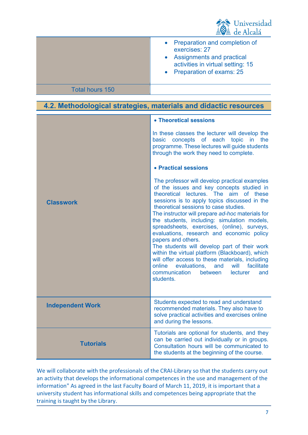

|                        | • Preparation and completion of<br>exercises: 27<br>• Assignments and practical<br>activities in virtual setting: 15<br>• Preparation of exams: 25 |
|------------------------|----------------------------------------------------------------------------------------------------------------------------------------------------|
| <b>Total hours 150</b> |                                                                                                                                                    |
|                        |                                                                                                                                                    |

## **4.2. Methodological strategies, materials and didactic resources**

|                         | • Theoretical sessions                                                                                                                                                                                                                                                                                                                                                                                                                                                                                                                                                                                                                                                                                                      |
|-------------------------|-----------------------------------------------------------------------------------------------------------------------------------------------------------------------------------------------------------------------------------------------------------------------------------------------------------------------------------------------------------------------------------------------------------------------------------------------------------------------------------------------------------------------------------------------------------------------------------------------------------------------------------------------------------------------------------------------------------------------------|
|                         | In these classes the lecturer will develop the<br>basic concepts of each topic<br>in the<br>programme. These lectures will guide students<br>through the work they need to complete.                                                                                                                                                                                                                                                                                                                                                                                                                                                                                                                                        |
|                         | • Practical sessions                                                                                                                                                                                                                                                                                                                                                                                                                                                                                                                                                                                                                                                                                                        |
| <b>Classwork</b>        | The professor will develop practical examples<br>of the issues and key concepts studied in<br>theoretical lectures. The aim of these<br>sessions is to apply topics discussed in the<br>theoretical sessions to case studies.<br>The instructor will prepare ad-hoc materials for<br>the students, including: simulation models,<br>spreadsheets, exercises, (online), surveys,<br>evaluations, research and economic policy<br>papers and others.<br>The students will develop part of their work<br>within the virtual platform (Blackboard), which<br>will offer access to these materials, including<br>evaluations,<br>facilitate<br>online<br>and<br>will<br>communication<br>between<br>lecturer<br>and<br>students. |
| <b>Independent Work</b> | Students expected to read and understand<br>recommended materials. They also have to<br>solve practical activities and exercises online<br>and during the lessons.                                                                                                                                                                                                                                                                                                                                                                                                                                                                                                                                                          |
| <b>Tutorials</b>        | Tutorials are optional for students, and they<br>can be carried out individually or in groups.<br>Consultation hours will be communicated to<br>the students at the beginning of the course.                                                                                                                                                                                                                                                                                                                                                                                                                                                                                                                                |

We will collaborate with the professionals of the CRAI-Library so that the students carry out an activity that develops the informational competences in the use and management of the information" As agreed in the last Faculty Board of March 11, 2019, it is important that a university student has informational skills and competences being appropriate that the training is taught by the Library.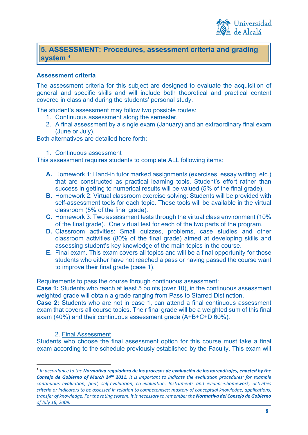

## **5. ASSESSMENT: Procedures, assessment criteria and grading system [1](#page-7-0)**

#### **Assessment criteria**

The assessment criteria for this subject are designed to evaluate the acquisition of general and specific skills and will include both theoretical and practical content covered in class and during the students' personal study.

The student's assessment may follow two possible routes:

- 1. Continuous assessment along the semester.
- 2. A final assessment by a single exam (January) and an extraordinary final exam (June or July).

Both alternatives are detailed here forth:

#### 1. Continuous assessment

This assessment requires students to complete ALL following items:

- **A.** Homework 1: Hand-in tutor marked assignments (exercises, essay writing, etc.) that are constructed as practical learning tools. Student's effort rather than success in getting to numerical results will be valued (5% of the final grade).
- **B.** Homework 2: Virtual classroom exercise solving: Students will be provided with self-assessment tools for each topic. These tools will be available in the virtual classroom (5% of the final grade).
- **C.** Homework 3: Two assessment tests through the virtual class environment (10% of the final grade). One virtual test for each of the two parts of the program.
- **D.** Classroom activities: Small quizzes, problems, case studies and other classroom activities (80% of the final grade) aimed at developing skills and assessing student's key knowledge of the main topics in the course.
- **E.** Final exam. This exam covers all topics and will be a final opportunity for those students who either have not reached a pass or having passed the course want to improve their final grade (case 1).

Requirements to pass the course through continuous assessment:

**Case 1:** Students who reach at least 5 points (over 10), in the continuous assessment weighted grade will obtain a grade ranging from Pass to Starred Distinction.

**Case 2:** Students who are not in case 1, can attend a final continuous assessment exam that covers all course topics. Their final grade will be a weighted sum of this final exam (40%) and their continuous assessment grade (A+B+C+D 60%).

#### 2. Final Assessment

Students who choose the final assessment option for this course must take a final exam according to the schedule previously established by the Faculty. This exam will

<span id="page-7-0"></span><sup>1</sup> *In accordance to the Normativa reguladora de los procesos de evaluación de los aprendizajes, enacted by the Consejo de Gobierno of March 24th 2011, It is important to indicate the evaluation procedures: for example continuous evaluation, final, self-evaluation, co-evaluation. Instruments and evidence:homework, activities criteria or indicators to be assessed in relation to competencies: mastery of conceptual knowledge, applications, transfer of knowledge. For the rating system, it is necessary to remember the Normativa del Consejo de Gobierno of July 16, 2009.*